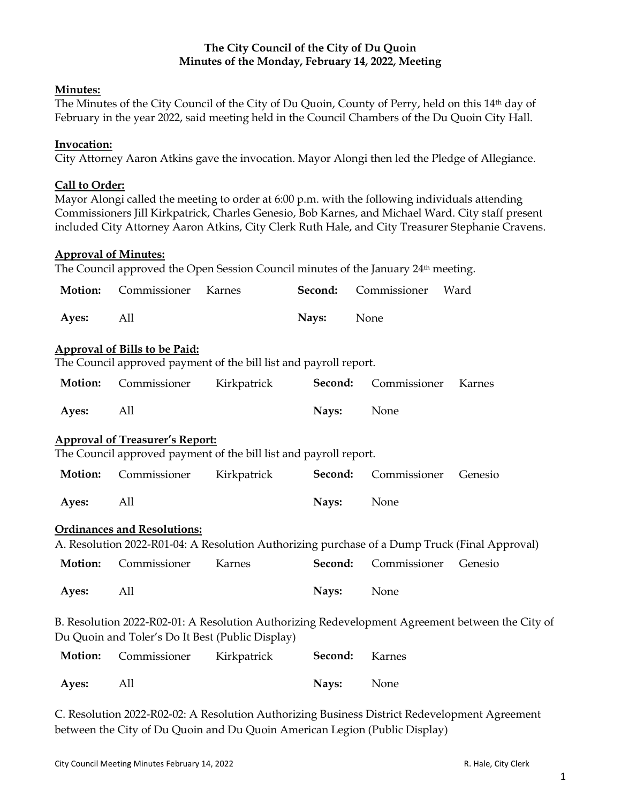# **The City Council of the City of Du Quoin Minutes of the Monday, February 14, 2022, Meeting**

### **Minutes:**

The Minutes of the City Council of the City of Du Quoin, County of Perry, held on this 14th day of February in the year 2022, said meeting held in the Council Chambers of the Du Quoin City Hall.

### **Invocation:**

City Attorney Aaron Atkins gave the invocation. Mayor Alongi then led the Pledge of Allegiance.

# **Call to Order:**

Mayor Alongi called the meeting to order at 6:00 p.m. with the following individuals attending Commissioners Jill Kirkpatrick, Charles Genesio, Bob Karnes, and Michael Ward. City staff present included City Attorney Aaron Atkins, City Clerk Ruth Hale, and City Treasurer Stephanie Cravens.

#### **Approval of Minutes:**

The Council approved the Open Session Council minutes of the January 24<sup>th</sup> meeting.

| Motion: | Commissioner                           | Karnes                                                            | Second: | Commissioner | Ward                                                                                            |
|---------|----------------------------------------|-------------------------------------------------------------------|---------|--------------|-------------------------------------------------------------------------------------------------|
| Ayes:   | All                                    |                                                                   | Nays:   | None         |                                                                                                 |
|         | <b>Approval of Bills to be Paid:</b>   | The Council approved payment of the bill list and payroll report. |         |              |                                                                                                 |
|         |                                        |                                                                   |         |              |                                                                                                 |
| Motion: | Commissioner                           | Kirkpatrick                                                       | Second: | Commissioner | Karnes                                                                                          |
| Ayes:   | All                                    |                                                                   | Nays:   | None         |                                                                                                 |
|         | <b>Approval of Treasurer's Report:</b> |                                                                   |         |              |                                                                                                 |
|         |                                        | The Council approved payment of the bill list and payroll report. |         |              |                                                                                                 |
| Motion: | Commissioner                           | Kirkpatrick                                                       | Second: | Commissioner | Genesio                                                                                         |
| Ayes:   | All                                    |                                                                   | Nays:   | None         |                                                                                                 |
|         | <b>Ordinances and Resolutions:</b>     |                                                                   |         |              |                                                                                                 |
|         |                                        |                                                                   |         |              | A. Resolution 2022-R01-04: A Resolution Authorizing purchase of a Dump Truck (Final Approval)   |
| Motion: | Commissioner                           | Karnes                                                            | Second: | Commissioner | Genesio                                                                                         |
| Ayes:   | All                                    |                                                                   | Nays:   | None         |                                                                                                 |
|         |                                        | Du Quoin and Toler's Do It Best (Public Display)                  |         |              | B. Resolution 2022-R02-01: A Resolution Authorizing Redevelopment Agreement between the City of |
|         |                                        |                                                                   |         |              |                                                                                                 |
| Motion: | Commissioner                           | Kirkpatrick                                                       | Second: | Karnes       |                                                                                                 |
| Ayes:   | All                                    |                                                                   | Nays:   | None         |                                                                                                 |

C. Resolution 2022-R02-02: A Resolution Authorizing Business District Redevelopment Agreement between the City of Du Quoin and Du Quoin American Legion (Public Display)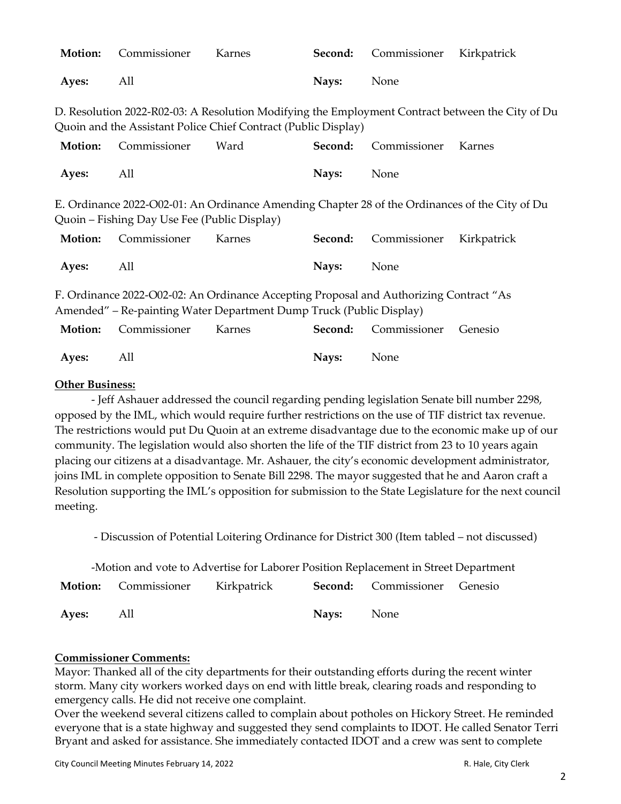| Motion: | Commissioner                                 | Karnes                                                                                                                                                        | Second: | Commissioner | Kirkpatrick                                                                                      |
|---------|----------------------------------------------|---------------------------------------------------------------------------------------------------------------------------------------------------------------|---------|--------------|--------------------------------------------------------------------------------------------------|
| Ayes:   | All                                          |                                                                                                                                                               | Nays:   | None         |                                                                                                  |
|         |                                              | Quoin and the Assistant Police Chief Contract (Public Display)                                                                                                |         |              | D. Resolution 2022-R02-03: A Resolution Modifying the Employment Contract between the City of Du |
| Motion: | Commissioner                                 | Ward                                                                                                                                                          | Second: | Commissioner | Karnes                                                                                           |
| Ayes:   | All                                          |                                                                                                                                                               | Nays:   | None         |                                                                                                  |
|         | Quoin – Fishing Day Use Fee (Public Display) |                                                                                                                                                               |         |              | E. Ordinance 2022-O02-01: An Ordinance Amending Chapter 28 of the Ordinances of the City of Du   |
| Motion: | Commissioner                                 | Karnes                                                                                                                                                        | Second: | Commissioner | Kirkpatrick                                                                                      |
| Ayes:   | All                                          |                                                                                                                                                               | Nays:   | None         |                                                                                                  |
|         |                                              | F. Ordinance 2022-O02-02: An Ordinance Accepting Proposal and Authorizing Contract "As<br>Amended" – Re-painting Water Department Dump Truck (Public Display) |         |              |                                                                                                  |
| Motion: | Commissioner                                 | Karnes                                                                                                                                                        | Second: | Commissioner | Genesio                                                                                          |
| Ayes:   | All                                          |                                                                                                                                                               | Nays:   | None         |                                                                                                  |

### **Other Business:**

- Jeff Ashauer addressed the council regarding pending legislation Senate bill number 2298, opposed by the IML, which would require further restrictions on the use of TIF district tax revenue. The restrictions would put Du Quoin at an extreme disadvantage due to the economic make up of our community. The legislation would also shorten the life of the TIF district from 23 to 10 years again placing our citizens at a disadvantage. Mr. Ashauer, the city's economic development administrator, joins IML in complete opposition to Senate Bill 2298. The mayor suggested that he and Aaron craft a Resolution supporting the IML's opposition for submission to the State Legislature for the next council meeting.

- Discussion of Potential Loitering Ordinance for District 300 (Item tabled – not discussed)

| -Motion and vote to Advertise for Laborer Position Replacement in Street Department |  |                                                                             |                   |  |  |
|-------------------------------------------------------------------------------------|--|-----------------------------------------------------------------------------|-------------------|--|--|
|                                                                                     |  | <b>Motion:</b> Commissioner Kirkpatrick <b>Second:</b> Commissioner Genesio |                   |  |  |
| Aves: All                                                                           |  |                                                                             | <b>Nays:</b> None |  |  |

#### **Commissioner Comments:**

Mayor: Thanked all of the city departments for their outstanding efforts during the recent winter storm. Many city workers worked days on end with little break, clearing roads and responding to emergency calls. He did not receive one complaint.

Over the weekend several citizens called to complain about potholes on Hickory Street. He reminded everyone that is a state highway and suggested they send complaints to IDOT. He called Senator Terri Bryant and asked for assistance. She immediately contacted IDOT and a crew was sent to complete